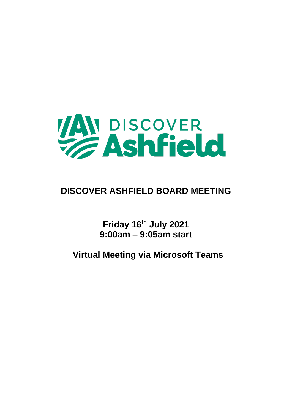

# **DISCOVER ASHFIELD BOARD MEETING**

**Friday 16th July 2021 9:00am – 9:05am start**

**Virtual Meeting via Microsoft Teams**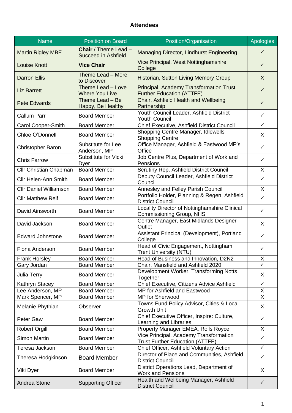#### **Attendees**

| <b>Name</b>                   | <b>Position on Board</b>                           | Position/Organisation                                                            | Apologies      |
|-------------------------------|----------------------------------------------------|----------------------------------------------------------------------------------|----------------|
| <b>Martin Rigley MBE</b>      | Chair / Theme Lead -<br><b>Succeed in Ashfield</b> | Managing Director, Lindhurst Engineering                                         | $\checkmark$   |
| <b>Louise Knott</b>           | <b>Vice Chair</b>                                  | Vice Principal, West Nottinghamshire<br>College                                  | $\checkmark$   |
| <b>Darron Ellis</b>           | Theme Lead - More<br>to Discover                   | Historian, Sutton Living Memory Group                                            | X              |
| <b>Liz Barrett</b>            | Theme Lead - Love<br><b>Where You Live</b>         | Principal, Academy Transformation Trust<br><b>Further Education (ATTFE)</b>      | $\checkmark$   |
| <b>Pete Edwards</b>           | Theme Lead - Be<br>Happy, Be Healthy               | Chair, Ashfield Health and Wellbeing<br>Partnership                              | $\checkmark$   |
| <b>Callum Parr</b>            | <b>Board Member</b>                                | Youth Council Leader, Ashfield District<br><b>Youth Council</b>                  | ✓              |
| Carol Cooper-Smith            | <b>Board Member</b>                                | Chief Executive, Ashfield District Council                                       | $\checkmark$   |
| Chloe O'Donnell               | <b>Board Member</b>                                | Shopping Centre Manager, Idlewells<br><b>Shopping Centre</b>                     | X              |
| <b>Christopher Baron</b>      | Substitute for Lee<br>Anderson, MP                 | Office Manager, Ashfield & Eastwood MP's<br>Office                               | $\checkmark$   |
| <b>Chris Farrow</b>           | Substitute for Vicki<br>Dyer                       | Job Centre Plus, Department of Work and<br>Pensions                              | $\checkmark$   |
| <b>Cllr Christian Chapman</b> | <b>Board Member</b>                                | Scrutiny Rep, Ashfield District Council                                          | X              |
| <b>Cllr Helen-Ann Smith</b>   | <b>Board Member</b>                                | Deputy Council Leader, Ashfield District<br>Council                              | $\checkmark$   |
| <b>Cllr Daniel Williamson</b> | <b>Board Member</b>                                | <b>Annesley and Felley Parish Council</b>                                        | X              |
| <b>Cllr Matthew Relf</b>      | <b>Board Member</b>                                | Portfolio Holder, Planning & Regen, Ashfield<br><b>District Council</b>          | ✓              |
| David Ainsworth               | <b>Board Member</b>                                | Locality Director of Nottinghamshire Clinical<br>Commissioning Group, NHS        | $\checkmark$   |
| David Jackson                 | <b>Board Member</b>                                | Centre Manager, East Midlands Designer<br>Outlet                                 | X              |
| <b>Edward Johnstone</b>       | <b>Board Member</b>                                | Assistant Principal (Development), Portland<br>College                           | $\checkmark$   |
| Fiona Anderson                | <b>Board Member</b>                                | Head of Civic Engagement, Nottingham<br><b>Trent University (NTU)</b>            | ✓              |
| <b>Frank Horsley</b>          | <b>Board Member</b>                                | Head of Business and Innovation, D2N2                                            | X              |
| Gary Jordan                   | <b>Board Member</b>                                | Chair, Mansfield and Ashfield 2020                                               |                |
| Julia Terry                   | <b>Board Member</b>                                | Development Worker, Transforming Notts<br>Together                               | X              |
| Kathryn Stacey                | <b>Board Member</b>                                | Chief Executive, Citizens Advice Ashfield                                        | $\checkmark$   |
| Lee Anderson, MP              | <b>Board Member</b>                                | MP for Ashfield and Eastwood                                                     | X              |
| Mark Spencer, MP              | <b>Board Member</b>                                | MP for Sherwood                                                                  | $\overline{X}$ |
| Melanie Phythian              | Observer                                           | Towns Fund Policy Advisor, Cities & Local<br><b>Growth Unit</b>                  | X              |
| Peter Gaw                     | <b>Board Member</b>                                | Chief Executive Officer, Inspire: Culture,<br>Learning and Libraries             | $\checkmark$   |
| <b>Robert Orgill</b>          | <b>Board Member</b>                                | Property Manager EMEA, Rolls Royce                                               | X              |
| <b>Simon Martin</b>           | <b>Board Member</b>                                | Vice Principal, Academy Transformation<br><b>Trust Further Education (ATTFE)</b> | $\checkmark$   |
| Teresa Jackson                | <b>Board Member</b>                                | Chief Officer, Ashfield Voluntary Action                                         | $\checkmark$   |
| Theresa Hodgkinson            | <b>Board Member</b>                                | Director of Place and Communities, Ashfield<br><b>District Council</b>           | $\checkmark$   |
| Viki Dyer                     | <b>Board Member</b>                                | District Operations Lead, Department of<br><b>Work and Pensions</b>              | X              |
| Andrea Stone                  | <b>Supporting Officer</b>                          | Health and Wellbeing Manager, Ashfield<br><b>District Council</b>                | $\checkmark$   |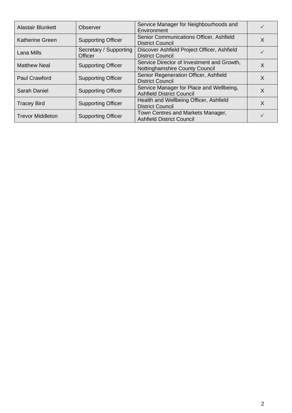| <b>Alastair Blunkett</b> | Observer                          | Service Manager for Neighbourhoods and<br>Environment                        |          |
|--------------------------|-----------------------------------|------------------------------------------------------------------------------|----------|
| <b>Katherine Green</b>   | <b>Supporting Officer</b>         | Senior Communications Officer, Ashfield<br><b>District Council</b>           | X        |
| Lana Mills               | Secretary / Supporting<br>Officer | Discover Ashfield Project Officer, Ashfield<br><b>District Council</b>       |          |
| <b>Matthew Neal</b>      | <b>Supporting Officer</b>         | Service Director of Investment and Growth,<br>Nottinghamshire County Council | $\times$ |
| <b>Paul Crawford</b>     | <b>Supporting Officer</b>         | Senior Regeneration Officer, Ashfield<br><b>District Council</b>             | X        |
| <b>Sarah Daniel</b>      | <b>Supporting Officer</b>         | Service Manager for Place and Wellbeing,<br><b>Ashfield District Council</b> | X        |
| <b>Tracey Bird</b>       | <b>Supporting Officer</b>         | Health and Wellbeing Officer, Ashfield<br><b>District Council</b>            | X        |
| <b>Trevor Middleton</b>  | <b>Supporting Officer</b>         | Town Centres and Markets Manager,<br><b>Ashfield District Council</b>        |          |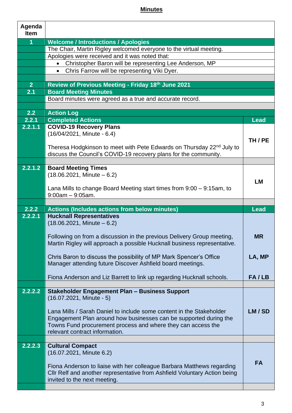### **Minutes**

| Agenda<br><b>Item</b> |                                                                                                           |             |
|-----------------------|-----------------------------------------------------------------------------------------------------------|-------------|
| $\overline{1}$        | <b>Welcome / Introductions / Apologies</b>                                                                |             |
|                       | The Chair, Martin Rigley welcomed everyone to the virtual meeting.                                        |             |
|                       | Apologies were received and it was noted that:                                                            |             |
|                       | Christopher Baron will be representing Lee Anderson, MP<br>$\bullet$                                      |             |
|                       | Chris Farrow will be representing Viki Dyer.<br>$\bullet$                                                 |             |
|                       |                                                                                                           |             |
| 2 <sup>1</sup>        | Review of Previous Meeting - Friday 18th June 2021                                                        |             |
| 2.1                   | <b>Board Meeting Minutes</b>                                                                              |             |
|                       | Board minutes were agreed as a true and accurate record.                                                  |             |
|                       |                                                                                                           |             |
| 2.2                   | <b>Action Log</b>                                                                                         |             |
| 2.2.1                 | <b>Completed Actions</b>                                                                                  | <b>Lead</b> |
| 2.2.1.1               | <b>COVID-19 Recovery Plans</b>                                                                            |             |
|                       | (16/04/2021, Minute - 6.4)                                                                                |             |
|                       |                                                                                                           | TH/PE       |
|                       | Theresa Hodgkinson to meet with Pete Edwards on Thursday 22 <sup>nd</sup> July to                         |             |
|                       | discuss the Council's COVID-19 recovery plans for the community.                                          |             |
|                       |                                                                                                           |             |
| 2.2.1.2               | <b>Board Meeting Times</b>                                                                                |             |
|                       | $(18.06.2021,$ Minute $-6.2)$                                                                             |             |
|                       |                                                                                                           | LM          |
|                       | Lana Mills to change Board Meeting start times from $9:00 - 9:15$ am, to                                  |             |
|                       | $9:00am - 9:05am$ .                                                                                       |             |
|                       |                                                                                                           |             |
|                       |                                                                                                           |             |
| 2.2.2                 | <b>Actions (Includes actions from below minutes)</b>                                                      | <b>Lead</b> |
| 2.2.2.1               | <b>Hucknall Representatives</b>                                                                           |             |
|                       | $(18.06.2021,$ Minute $-6.2)$                                                                             |             |
|                       |                                                                                                           |             |
|                       | Following on from a discussion in the previous Delivery Group meeting,                                    | <b>MR</b>   |
|                       | Martin Rigley will approach a possible Hucknall business representative.                                  |             |
|                       |                                                                                                           |             |
|                       | Chris Baron to discuss the possibility of MP Mark Spencer's Office                                        | LA, MP      |
|                       | Manager attending future Discover Ashfield board meetings.                                                |             |
|                       | Fiona Anderson and Liz Barrett to link up regarding Hucknall schools.                                     | FA/LB       |
|                       |                                                                                                           |             |
| 2.2.2.2               | <b>Stakeholder Engagement Plan - Business Support</b>                                                     |             |
|                       | $(16.07.2021,$ Minute - 5)                                                                                |             |
|                       |                                                                                                           |             |
|                       | Lana Mills / Sarah Daniel to include some content in the Stakeholder                                      | LM/SD       |
|                       | Engagement Plan around how businesses can be supported during the                                         |             |
|                       | Towns Fund procurement process and where they can access the                                              |             |
|                       | relevant contract information.                                                                            |             |
|                       |                                                                                                           |             |
| 2.2.2.3               | <b>Cultural Compact</b>                                                                                   |             |
|                       | (16.07.2021, Minute 6.2)                                                                                  |             |
|                       |                                                                                                           | <b>FA</b>   |
|                       | Fiona Anderson to liaise with her colleague Barbara Matthews regarding                                    |             |
|                       | CIIr Relf and another representative from Ashfield Voluntary Action being<br>invited to the next meeting. |             |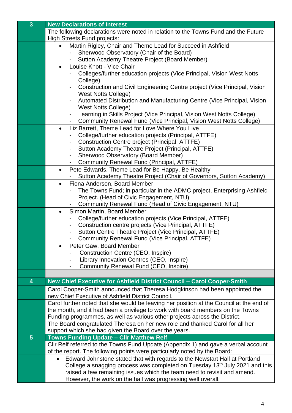| 3 <sup>1</sup> | <b>New Declarations of Interest</b>                                                                                                                                       |
|----------------|---------------------------------------------------------------------------------------------------------------------------------------------------------------------------|
|                | The following declarations were noted in relation to the Towns Fund and the Future                                                                                        |
|                | <b>High Streets Fund projects:</b>                                                                                                                                        |
|                | Martin Rigley, Chair and Theme Lead for Succeed in Ashfield<br>$\bullet$                                                                                                  |
|                | Sherwood Observatory (Chair of the Board)                                                                                                                                 |
|                | Sutton Academy Theatre Project (Board Member)                                                                                                                             |
|                | Louise Knott - Vice Chair<br>$\bullet$                                                                                                                                    |
|                | Colleges/further education projects (Vice Principal, Vision West Notts                                                                                                    |
|                | College)                                                                                                                                                                  |
|                | Construction and Civil Engineering Centre project (Vice Principal, Vision<br><b>West Notts College)</b>                                                                   |
|                | Automated Distribution and Manufacturing Centre (Vice Principal, Vision                                                                                                   |
|                | <b>West Notts College)</b>                                                                                                                                                |
|                | Learning in Skills Project (Vice Principal, Vision West Notts College)<br>-                                                                                               |
|                | Community Renewal Fund (Vice Principal, Vision West Notts College)                                                                                                        |
|                | Liz Barrett, Theme Lead for Love Where You Live<br>$\bullet$                                                                                                              |
|                | College/further education projects (Principal, ATTFE)                                                                                                                     |
|                | Construction Centre project (Principal, ATTFE)                                                                                                                            |
|                | Sutton Academy Theatre Project (Principal, ATTFE)<br>-                                                                                                                    |
|                | Sherwood Observatory (Board Member)                                                                                                                                       |
|                | Community Renewal Fund (Principal, ATTFE)                                                                                                                                 |
|                | Pete Edwards, Theme Lead for Be Happy, Be Healthy<br>$\bullet$                                                                                                            |
|                | Sutton Academy Theatre Project (Chair of Governors, Sutton Academy)                                                                                                       |
|                | Fiona Anderson, Board Member<br>$\bullet$                                                                                                                                 |
|                | The Towns Fund; in particular in the ADMC project, Enterprising Ashfield                                                                                                  |
|                | Project. (Head of Civic Engagement, NTU)<br>Community Renewal Fund (Head of Civic Engagement, NTU)                                                                        |
|                | Simon Martin, Board Member<br>$\bullet$                                                                                                                                   |
|                | College/further education projects (Vice Principal, ATTFE)                                                                                                                |
|                | Construction centre projects (Vice Principal, ATTFE)<br>-                                                                                                                 |
|                | Sutton Centre Theatre Project (Vice Principal, ATTFE)                                                                                                                     |
|                | Community Renewal Fund (Vice Principal, ATTFE)                                                                                                                            |
|                | Peter Gaw, Board Member<br>$\bullet$                                                                                                                                      |
|                | Construction Centre (CEO, Inspire)                                                                                                                                        |
|                | Library Innovation Centres (CEO, Inspire)                                                                                                                                 |
|                | Community Renewal Fund (CEO, Inspire)                                                                                                                                     |
|                |                                                                                                                                                                           |
| 4              | New Chief Executive for Ashfield District Council - Carol Cooper-Smith                                                                                                    |
|                | Carol Cooper-Smith announced that Theresa Hodgkinson had been appointed the                                                                                               |
|                | new Chief Executive of Ashfield District Council.                                                                                                                         |
|                | Carol further noted that she would be leaving her position at the Council at the end of<br>the month, and it had been a privilege to work with board members on the Towns |
|                | Funding programmes, as well as various other projects across the District.                                                                                                |
|                | The Board congratulated Theresa on her new role and thanked Carol for all her                                                                                             |
|                | support which she had given the Board over the years.                                                                                                                     |
| 5 <sup>5</sup> | <b>Towns Funding Update - Cllr Matthew Relf</b>                                                                                                                           |
|                | Cllr Relf referred to the Towns Fund Update (Appendix 1) and gave a verbal account                                                                                        |
|                | of the report. The following points were particularly noted by the Board:                                                                                                 |
|                | Edward Johnstone stated that with regards to the Newstart Hall at Portland                                                                                                |
|                | College a snagging process was completed on Tuesday 13 <sup>th</sup> July 2021 and this                                                                                   |
|                | raised a few remaining issues which the team need to revisit and amend.                                                                                                   |
|                | However, the work on the hall was progressing well overall.                                                                                                               |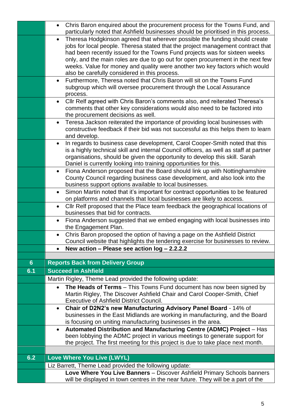|     | Chris Baron enquired about the procurement process for the Towns Fund, and<br>$\bullet$                                                                                |
|-----|------------------------------------------------------------------------------------------------------------------------------------------------------------------------|
|     | particularly noted that Ashfield businesses should be prioritised in this process.                                                                                     |
|     | Theresa Hodgkinson agreed that wherever possible the funding should create<br>$\bullet$                                                                                |
|     | jobs for local people. Theresa stated that the project management contract that                                                                                        |
|     | had been recently issued for the Towns Fund projects was for sixteen weeks                                                                                             |
|     | only, and the main roles are due to go out for open procurement in the next few                                                                                        |
|     | weeks. Value for money and quality were another two key factors which would                                                                                            |
|     | also be carefully considered in this process.                                                                                                                          |
|     | Furthermore, Theresa noted that Chris Baron will sit on the Towns Fund<br>$\bullet$                                                                                    |
|     | subgroup which will oversee procurement through the Local Assurance                                                                                                    |
|     | process.                                                                                                                                                               |
|     | Cllr Relf agreed with Chris Baron's comments also, and reiterated Theresa's<br>$\bullet$<br>comments that other key considerations would also need to be factored into |
|     | the procurement decisions as well.                                                                                                                                     |
|     | Teresa Jackson reiterated the importance of providing local businesses with<br>$\bullet$                                                                               |
|     | constructive feedback if their bid was not successful as this helps them to learn                                                                                      |
|     | and develop.                                                                                                                                                           |
|     | In regards to business case development, Carol Cooper-Smith noted that this                                                                                            |
|     | is a highly technical skill and internal Council officers, as well as staff at partner                                                                                 |
|     | organisations, should be given the opportunity to develop this skill. Sarah                                                                                            |
|     | Daniel is currently looking into training opportunities for this.                                                                                                      |
|     | Fiona Anderson proposed that the Board should link up with Nottinghamshire<br>$\bullet$                                                                                |
|     | County Council regarding business case development, and also look into the                                                                                             |
|     | business support options available to local businesses.                                                                                                                |
|     | Simon Martin noted that it's important for contract opportunities to be featured<br>$\bullet$                                                                          |
|     | on platforms and channels that local businesses are likely to access.                                                                                                  |
|     | Cllr Relf proposed that the Place team feedback the geographical locations of<br>businesses that bid for contracts.                                                    |
|     | Fiona Anderson suggested that we embed engaging with local businesses into<br>$\bullet$                                                                                |
|     | the Engagement Plan.                                                                                                                                                   |
|     | Chris Baron proposed the option of having a page on the Ashfield District                                                                                              |
|     | Council website that highlights the tendering exercise for businesses to review.                                                                                       |
|     | New action - Please see action $log - 2.2.2.2$                                                                                                                         |
| 6   | <b>Reports Back from Delivery Group</b>                                                                                                                                |
| 6.1 | <b>Succeed in Ashfield</b>                                                                                                                                             |
|     | Martin Rigley, Theme Lead provided the following update:                                                                                                               |
|     | The Heads of Terms - This Towns Fund document has now been signed by<br>$\bullet$                                                                                      |
|     | Martin Rigley, The Discover Ashfield Chair and Carol Cooper-Smith, Chief                                                                                               |
|     | <b>Executive of Ashfield District Council.</b>                                                                                                                         |
|     | Chair of D2N2's new Manufacturing Advisory Panel Board - 14% of<br>$\bullet$                                                                                           |
|     | businesses in the East Midlands are working in manufacturing, and the Board                                                                                            |
|     | is focusing on uniting manufacturing businesses in the area.                                                                                                           |
|     | Automated Distribution and Manufacturing Centre (ADMC) Project - Has                                                                                                   |
|     | been lobbying the ADMC project in various meetings to generate support for                                                                                             |
|     | the project. The first meeting for this project is due to take place next month.                                                                                       |
|     |                                                                                                                                                                        |
| 6.2 | Love Where You Live (LWYL)                                                                                                                                             |
|     | Liz Barrett, Theme Lead provided the following update:                                                                                                                 |
|     | Love Where You Live Banners - Discover Ashfield Primary Schools banners                                                                                                |
|     | will be displayed in town centres in the near future. They will be a part of the                                                                                       |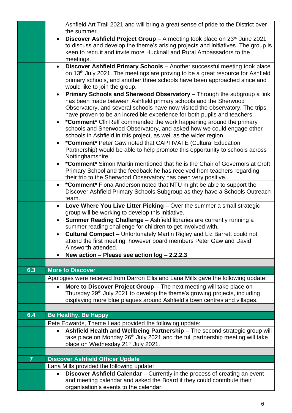|                | Ashfield Art Trail 2021 and will bring a great sense of pride to the District over<br>the summer.                                                                           |
|----------------|-----------------------------------------------------------------------------------------------------------------------------------------------------------------------------|
|                | <b>Discover Ashfield Project Group</b> – A meeting took place on $23^{rd}$ June 2021<br>to discuss and develop the theme's arising projects and initiatives. The group is   |
|                | keen to recruit and invite more Hucknall and Rural Ambassadors to the<br>meetings.                                                                                          |
|                | Discover Ashfield Primary Schools - Another successful meeting took place                                                                                                   |
|                | on 13 <sup>th</sup> July 2021. The meetings are proving to be a great resource for Ashfield<br>primary schools, and another three schools have been approached since and    |
|                | would like to join the group.                                                                                                                                               |
|                | Primary Schools and Sherwood Observatory - Through the subgroup a link<br>$\bullet$<br>has been made between Ashfield primary schools and the Sherwood                      |
|                | Observatory, and several schools have now visited the observatory. The trips<br>have proven to be an incredible experience for both pupils and teachers.                    |
|                | *Comment* Cllr Relf commended the work happening around the primary<br>$\bullet$                                                                                            |
|                | schools and Sherwood Observatory, and asked how we could engage other<br>schools in Ashfield in this project, as well as the wider region.                                  |
|                | *Comment* Peter Gaw noted that CAPTIVATE (Cultural Education<br>$\bullet$                                                                                                   |
|                | Partnership) would be able to help promote this opportunity to schools across<br>Nottinghamshire.                                                                           |
|                | <b>*Comment*</b> Simon Martin mentioned that he is the Chair of Governors at Croft                                                                                          |
|                | Primary School and the feedback he has received from teachers regarding<br>their trip to the Sherwood Observatory has been very positive.                                   |
|                | *Comment* Fiona Anderson noted that NTU might be able to support the<br>$\bullet$                                                                                           |
|                | Discover Ashfield Primary Schools Subgroup as they have a Schools Outreach<br>team.                                                                                         |
|                | Love Where You Live Litter Picking - Over the summer a small strategic<br>$\bullet$                                                                                         |
|                | group will be working to develop this initiative.                                                                                                                           |
|                | Summer Reading Challenge - Ashfield libraries are currently running a<br>summer reading challenge for children to get involved with.                                        |
|                | Cultural Compact - Unfortunately Martin Rigley and Liz Barrett could not                                                                                                    |
|                | attend the first meeting, however board members Peter Gaw and David<br>Ainsworth attended.                                                                                  |
|                | New action – Please see action $log - 2.2.2.3$                                                                                                                              |
|                |                                                                                                                                                                             |
| 6.3            | <b>More to Discover</b>                                                                                                                                                     |
|                | Apologies were received from Darron Ellis and Lana Mills gave the following update:                                                                                         |
|                | More to Discover Project Group - The next meeting will take place on<br>$\bullet$<br>Thursday 29 <sup>th</sup> July 2021 to develop the theme's growing projects, including |
|                | displaying more blue plaques around Ashfield's town centres and villages.                                                                                                   |
|                |                                                                                                                                                                             |
| 6.4            | <b>Be Healthy, Be Happy</b>                                                                                                                                                 |
|                | Pete Edwards, Theme Lead provided the following update:                                                                                                                     |
|                | Ashfield Health and Wellbeing Partnership - The second strategic group will<br>$\bullet$                                                                                    |
|                | take place on Monday 26 <sup>th</sup> July 2021 and the full partnership meeting will take<br>place on Wednesday 21 <sup>st</sup> July 2021.                                |
|                |                                                                                                                                                                             |
| $\overline{7}$ | <b>Discover Ashfield Officer Update</b>                                                                                                                                     |
|                | Lana Mills provided the following update:                                                                                                                                   |
|                | Discover Ashfield Calendar - Currently in the process of creating an event<br>and meeting calendar and asked the Board if they could contribute their                       |
|                | organisation's events to the calendar.                                                                                                                                      |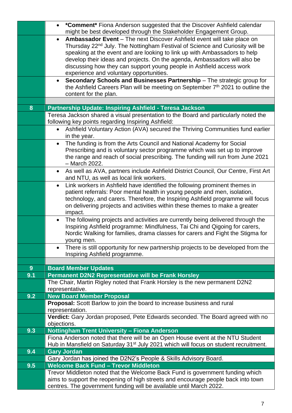|     | <b>*Comment*</b> Fiona Anderson suggested that the Discover Ashfield calendar<br>$\bullet$<br>might be best developed through the Stakeholder Engagement Group.                                                                                                                                                                                                                                                                                              |
|-----|--------------------------------------------------------------------------------------------------------------------------------------------------------------------------------------------------------------------------------------------------------------------------------------------------------------------------------------------------------------------------------------------------------------------------------------------------------------|
|     | Ambassador Event - The next Discover Ashfield event will take place on<br>$\bullet$<br>Thursday 22 <sup>nd</sup> July. The Nottingham Festival of Science and Curiosity will be<br>speaking at the event and are looking to link up with Ambassadors to help<br>develop their ideas and projects. On the agenda, Ambassadors will also be<br>discussing how they can support young people in Ashfield access work<br>experience and voluntary opportunities. |
|     | Secondary Schools and Businesses Partnership - The strategic group for<br>$\bullet$<br>the Ashfield Careers Plan will be meeting on September 7th 2021 to outline the<br>content for the plan.                                                                                                                                                                                                                                                               |
|     |                                                                                                                                                                                                                                                                                                                                                                                                                                                              |
| 8   | Partnership Update: Inspiring Ashfield - Teresa Jackson                                                                                                                                                                                                                                                                                                                                                                                                      |
|     | Teresa Jackson shared a visual presentation to the Board and particularly noted the<br>following key points regarding Inspiring Ashfield:                                                                                                                                                                                                                                                                                                                    |
|     | Ashfield Voluntary Action (AVA) secured the Thriving Communities fund earlier<br>in the year.                                                                                                                                                                                                                                                                                                                                                                |
|     | The funding is from the Arts Council and National Academy for Social<br>$\bullet$<br>Prescribing and is voluntary sector programme which was set up to improve<br>the range and reach of social prescribing. The funding will run from June 2021<br>- March 2022.                                                                                                                                                                                            |
|     | As well as AVA, partners include Ashfield District Council, Our Centre, First Art<br>$\bullet$<br>and NTU, as well as local link workers.                                                                                                                                                                                                                                                                                                                    |
|     | Link workers in Ashfield have identified the following prominent themes in<br>$\bullet$<br>patient referrals: Poor mental health in young people and men, isolation,<br>technology, and carers. Therefore, the Inspiring Ashfield programme will focus<br>on delivering projects and activities within these themes to make a greater<br>impact.                                                                                                             |
|     | The following projects and activities are currently being delivered through the<br>$\bullet$<br>Inspiring Ashfield programme: Mindfulness, Tai Chi and Qigoing for carers,<br>Nordic Walking for families, drama classes for carers and Fight the Stigma for<br>young men.                                                                                                                                                                                   |
|     | There is still opportunity for new partnership projects to be developed from the<br>$\bullet$<br>Inspiring Ashfield programme.                                                                                                                                                                                                                                                                                                                               |
|     |                                                                                                                                                                                                                                                                                                                                                                                                                                                              |
| 9   | <b>Board Member Updates</b>                                                                                                                                                                                                                                                                                                                                                                                                                                  |
| 9.1 | Permanent D2N2 Representative will be Frank Horsley                                                                                                                                                                                                                                                                                                                                                                                                          |
|     | The Chair, Martin Rigley noted that Frank Horsley is the new permanent D2N2                                                                                                                                                                                                                                                                                                                                                                                  |
|     | representative.                                                                                                                                                                                                                                                                                                                                                                                                                                              |
| 9.2 | <b>New Board Member Proposal</b>                                                                                                                                                                                                                                                                                                                                                                                                                             |
|     | Proposal: Scott Barlow to join the board to increase business and rural<br>representation.                                                                                                                                                                                                                                                                                                                                                                   |
|     | Verdict: Gary Jordan proposed, Pete Edwards seconded. The Board agreed with no                                                                                                                                                                                                                                                                                                                                                                               |
|     | objections.                                                                                                                                                                                                                                                                                                                                                                                                                                                  |
| 9.3 | Nottingham Trent University - Fiona Anderson                                                                                                                                                                                                                                                                                                                                                                                                                 |
|     | Fiona Anderson noted that there will be an Open House event at the NTU Student<br>Hub in Mansfield on Saturday 31 <sup>st</sup> July 2021 which will focus on student recruitment.                                                                                                                                                                                                                                                                           |
| 9.4 | <b>Gary Jordan</b>                                                                                                                                                                                                                                                                                                                                                                                                                                           |
|     | Gary Jordan has joined the D2N2's People & Skills Advisory Board.                                                                                                                                                                                                                                                                                                                                                                                            |
| 9.5 | <b>Welcome Back Fund - Trevor Middleton</b>                                                                                                                                                                                                                                                                                                                                                                                                                  |
|     | Trevor Middleton noted that the Welcome Back Fund is government funding which<br>aims to support the reopening of high streets and encourage people back into town<br>centres. The government funding will be available until March 2022.                                                                                                                                                                                                                    |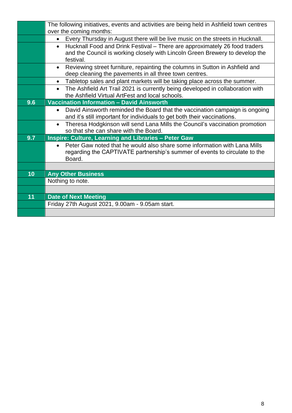|     | The following initiatives, events and activities are being held in Ashfield town centres    |
|-----|---------------------------------------------------------------------------------------------|
|     | over the coming months:                                                                     |
|     | Every Thursday in August there will be live music on the streets in Hucknall.<br>$\bullet$  |
|     | Hucknall Food and Drink Festival - There are approximately 26 food traders<br>$\bullet$     |
|     | and the Council is working closely with Lincoln Green Brewery to develop the<br>festival.   |
|     | Reviewing street furniture, repainting the columns in Sutton in Ashfield and<br>$\bullet$   |
|     | deep cleaning the pavements in all three town centres.                                      |
|     | Tabletop sales and plant markets will be taking place across the summer.<br>$\bullet$       |
|     | The Ashfield Art Trail 2021 is currently being developed in collaboration with<br>$\bullet$ |
|     | the Ashfield Virtual ArtFest and local schools.                                             |
| 9.6 | <b>Vaccination Information - David Ainsworth</b>                                            |
|     | David Ainsworth reminded the Board that the vaccination campaign is ongoing<br>$\bullet$    |
|     | and it's still important for individuals to get both their vaccinations.                    |
|     | Theresa Hodgkinson will send Lana Mills the Council's vaccination promotion<br>$\bullet$    |
|     | so that she can share with the Board.                                                       |
| 9.7 | <b>Inspire: Culture, Learning and Libraries - Peter Gaw</b>                                 |
|     | Peter Gaw noted that he would also share some information with Lana Mills<br>$\bullet$      |
|     | regarding the CAPTIVATE partnership's summer of events to circulate to the                  |
|     | Board.                                                                                      |
|     |                                                                                             |
| 10  | <b>Any Other Business</b>                                                                   |
|     | Nothing to note.                                                                            |
|     |                                                                                             |
| 11  | <b>Date of Next Meeting</b>                                                                 |
|     | Friday 27th August 2021, 9.00am - 9.05am start.                                             |
|     |                                                                                             |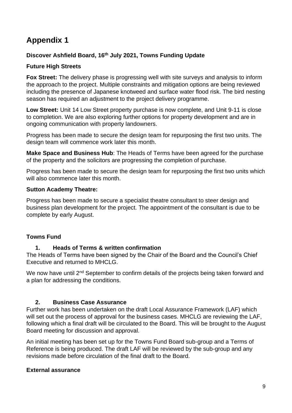## **Appendix 1**

#### **Discover Ashfield Board, 16th July 2021, Towns Funding Update**

#### **Future High Streets**

**Fox Street:** The delivery phase is progressing well with site surveys and analysis to inform the approach to the project. Multiple constraints and mitigation options are being reviewed including the presence of Japanese knotweed and surface water flood risk. The bird nesting season has required an adjustment to the project delivery programme.

**Low Street:** Unit 14 Low Street property purchase is now complete, and Unit 9-11 is close to completion. We are also exploring further options for property development and are in ongoing communication with property landowners.

Progress has been made to secure the design team for repurposing the first two units. The design team will commence work later this month.

**Make Space and Business Hub**: The Heads of Terms have been agreed for the purchase of the property and the solicitors are progressing the completion of purchase.

Progress has been made to secure the design team for repurposing the first two units which will also commence later this month.

#### **Sutton Academy Theatre:**

Progress has been made to secure a specialist theatre consultant to steer design and business plan development for the project. The appointment of the consultant is due to be complete by early August.

#### **Towns Fund**

#### **1. Heads of Terms & written confirmation**

The Heads of Terms have been signed by the Chair of the Board and the Council's Chief Executive and returned to MHCLG.

We now have until 2<sup>nd</sup> September to confirm details of the projects being taken forward and a plan for addressing the conditions.

#### **2. Business Case Assurance**

Further work has been undertaken on the draft Local Assurance Framework (LAF) which will set out the process of approval for the business cases. MHCLG are reviewing the LAF, following which a final draft will be circulated to the Board. This will be brought to the August Board meeting for discussion and approval.

An initial meeting has been set up for the Towns Fund Board sub-group and a Terms of Reference is being produced. The draft LAF will be reviewed by the sub-group and any revisions made before circulation of the final draft to the Board.

#### **External assurance**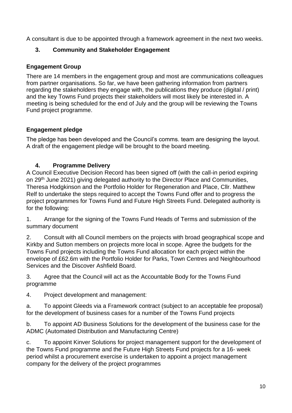A consultant is due to be appointed through a framework agreement in the next two weeks.

#### **3. Community and Stakeholder Engagement**

#### **Engagement Group**

There are 14 members in the engagement group and most are communications colleagues from partner organisations. So far, we have been gathering information from partners regarding the stakeholders they engage with, the publications they produce (digital / print) and the key Towns Fund projects their stakeholders will most likely be interested in. A meeting is being scheduled for the end of July and the group will be reviewing the Towns Fund project programme.

#### **Engagement pledge**

The pledge has been developed and the Council's comms. team are designing the layout. A draft of the engagement pledge will be brought to the board meeting.

#### **4. Programme Delivery**

A Council Executive Decision Record has been signed off (with the call-in period expiring on 29th June 2021) giving delegated authority to the Director Place and Communities, Theresa Hodgkinson and the Portfolio Holder for Regeneration and Place, Cllr. Matthew Relf to undertake the steps required to accept the Towns Fund offer and to progress the project programmes for Towns Fund and Future High Streets Fund. Delegated authority is for the following:

1. Arrange for the signing of the Towns Fund Heads of Terms and submission of the summary document

2. Consult with all Council members on the projects with broad geographical scope and Kirkby and Sutton members on projects more local in scope. Agree the budgets for the Towns Fund projects including the Towns Fund allocation for each project within the envelope of £62.6m with the Portfolio Holder for Parks, Town Centres and Neighbourhood Services and the Discover Ashfield Board.

3. Agree that the Council will act as the Accountable Body for the Towns Fund programme

4. Project development and management:

a. To appoint Gleeds via a Framework contract (subject to an acceptable fee proposal) for the development of business cases for a number of the Towns Fund projects

b. To appoint AD Business Solutions for the development of the business case for the ADMC (Automated Distribution and Manufacturing Centre)

c. To appoint Kinver Solutions for project management support for the development of the Towns Fund programme and the Future High Streets Fund projects for a 16- week period whilst a procurement exercise is undertaken to appoint a project management company for the delivery of the project programmes